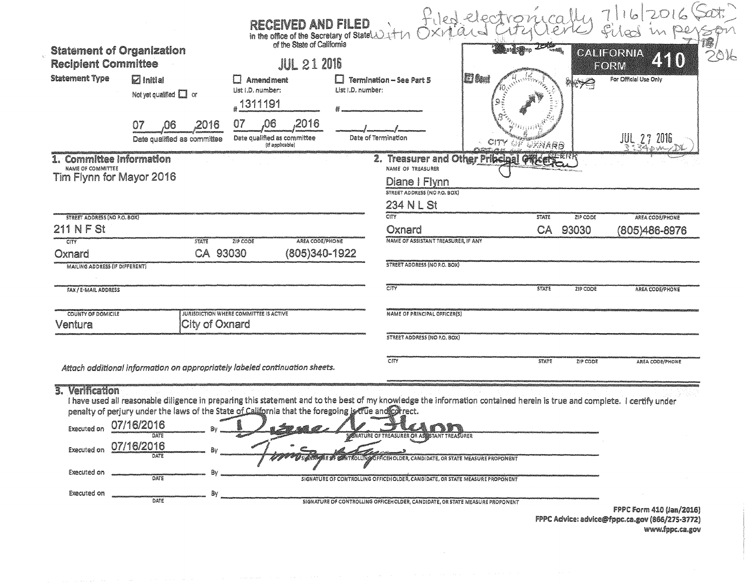| <b>Statement of Organization</b><br><b>Recipient Committee</b><br><b>Statement Type</b><br><b>Z</b> Initial<br>Not yet qualified $\square$ or<br>,2016<br>07<br>.06<br>Date qualified as committee | <b>RECEIVED AND FILED</b><br>in the office of the Secretary of State 11471<br><b>JUL 21 2016</b><br>$\Box$ Amendment<br>List I.D. number:<br>"1311191<br>,2016<br>,06<br>07<br>Date qualified as committee<br>(if applicable) | <b>Termination - See Part 5</b><br>List I.D. number:<br>Date of Termination      | <b>JOAB</b><br>etelS@mp<br>E font<br><b>CITY OF DENARB</b> | <b>NOTE</b> | 隱<br>CALIFORNIA<br>2016<br>ZKKO)<br>FORM<br>For Official Use Only<br><b>JUL 27 2016</b> |
|----------------------------------------------------------------------------------------------------------------------------------------------------------------------------------------------------|-------------------------------------------------------------------------------------------------------------------------------------------------------------------------------------------------------------------------------|----------------------------------------------------------------------------------|------------------------------------------------------------|-------------|-----------------------------------------------------------------------------------------|
| 1. Committee Information<br><b>NAME OF COMMITTEE</b><br>Tim Flynn for Mayor 2016                                                                                                                   |                                                                                                                                                                                                                               | NAME OF TREASURER<br>Diane   Flynn<br>STREET ADDRESS (NO P.O. BOX)<br>234 N L St | 2. Treasurer and Other Pribeigal Officers. ERR             |             |                                                                                         |
| <b>STREET ADDRESS (NO P.O. BOX)</b>                                                                                                                                                                |                                                                                                                                                                                                                               | CITY                                                                             | <b>STATE</b>                                               | ZIP CODE    | AREA CODE/PHONE                                                                         |
| <b>211 N F St</b>                                                                                                                                                                                  |                                                                                                                                                                                                                               | Oxnard                                                                           | CA                                                         | 93030       | (805)486-8976                                                                           |
| <b>CITY</b><br><b>STATE</b><br>CA 93030<br>Oxnard                                                                                                                                                  | AREA CODE/PHONE<br>ZIP CODE<br>(805)340-1922                                                                                                                                                                                  | NAME OF ASSISTANT TREASURER, IF ANY                                              |                                                            |             |                                                                                         |
| MAILING ADDRESS (IF DIFFERENT)                                                                                                                                                                     |                                                                                                                                                                                                                               | STREET ADDRESS (NO P.O. BOX)                                                     |                                                            |             |                                                                                         |
| FAX / E-MAIL ADDRESS                                                                                                                                                                               |                                                                                                                                                                                                                               | CITY                                                                             | <b>STATE</b>                                               | ZIP CODE    | AREA CODE/PHONE                                                                         |
| COUNTY OF DOMICILE<br>City of Oxnard<br>Ventura                                                                                                                                                    | JURISDICTION WHERE COMMITTEE IS ACTIVE                                                                                                                                                                                        | NAME OF PRINCIPAL OFFICER(S)                                                     |                                                            |             |                                                                                         |
|                                                                                                                                                                                                    |                                                                                                                                                                                                                               | STREET ADDRESS (NO P.O. BOX)                                                     |                                                            |             |                                                                                         |
| Attach additional information on appropriately labeled continuation sheets.                                                                                                                        |                                                                                                                                                                                                                               | CITY                                                                             | <b>STATE</b>                                               | ZIP CODE    | AREA CODE/PHONE                                                                         |

## 3. Verification

Thave used all reasonable diligence in preparing this statement and to the best of my knowledge the information contained herein is true and complete. I certify under<br>penalty of perjury under the laws of the State of Calif

| Executed on        | 07/16/2016                 | <i>S</i> o sa a . | KANN                                                                                                                                                                     |  |                                 |
|--------------------|----------------------------|-------------------|--------------------------------------------------------------------------------------------------------------------------------------------------------------------------|--|---------------------------------|
| <b>Executed on</b> | DATE<br>07/16/2016<br>DATE |                   | SIGNATURE OF TREASURER OR ASSISTANT TREASURER                                                                                                                            |  |                                 |
| Executed on        | DATE                       |                   | <b>MAN BY SYSTEMS OF CONTROLLING OFFICEHOLDER, CANDIDATE, OR STATE MEASURE PROPONENT</b><br>SIGNATURE OF CONTROLLING OFFICEHOLDER, CANDIDATE, OR STATE MEASURE PROPONENT |  |                                 |
| <b>Executed on</b> | DATE                       |                   | SIGNATURE OF CONTROLLING OFFICEHOLDER, CANDIDATE, OR STATE MEASURE PROPONENT                                                                                             |  |                                 |
|                    |                            |                   |                                                                                                                                                                          |  | <b>FPPC Form 410 (Jan/2016)</b> |

FPPC Advice: advice@fppc.ca.gov (866/275-3772) www.fppc.ca.gov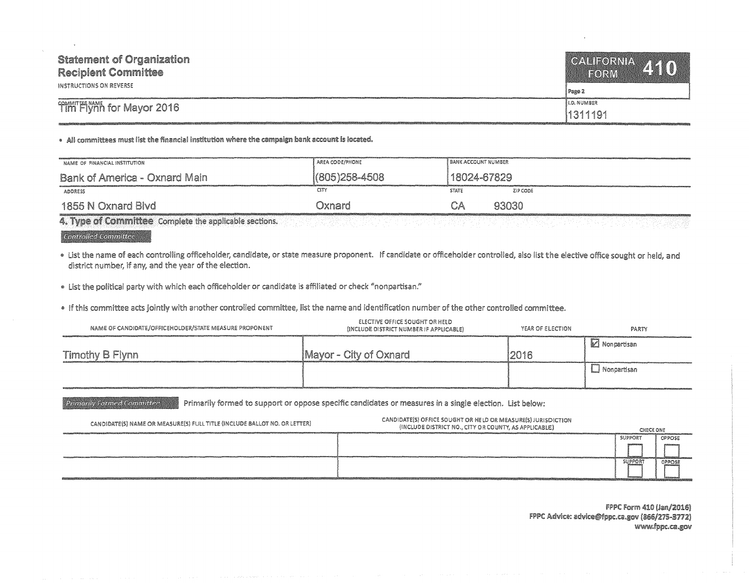| <b>Statement of Organization</b><br><b>Recipient Committee</b><br>INSTRUCTIONS ON REVERSE | CALIFORNIA 410<br><b>FORM</b><br>J Page 2 |
|-------------------------------------------------------------------------------------------|-------------------------------------------|
| Tim Flynn for Mayor 2016                                                                  | <b>ILD. NUMBER</b>                        |
|                                                                                           | 11311191                                  |

. All committees must list the financial institution where the campaign bank account is located.

| (805) 258-4508<br>18024-67829<br>Bank of America - Oxnard Main                                                                                                             |  |
|----------------------------------------------------------------------------------------------------------------------------------------------------------------------------|--|
| <b>CITY</b><br><b>STATE</b><br>ZIP CODE<br><b>ADDRESS</b>                                                                                                                  |  |
| 93030<br>1855 N Oxnard Blyd<br>Dxnard.<br>CΑ<br><b>The community of the community of the community of the community of the community of the community of the community</b> |  |

4. Type of Committee Complete the applicable sections.

## Controlled Committee

Primarily Formed Committee

. List the name of each controlling officeholder, candidate, or state measure proponent. If candidate or officeholder controlled, also list the elective office sought or held, and district number, if any, and the year of the election.

· List the political party with which each officeholder or candidate is affiliated or check "nonpartisan."

. If this committee acts jointly with another controlled committee, list the name and identification number of the other controlled committee.

| NAME OF CANDIDATE/OFFICEHOLDER/STATE MEASURE PROPONENT | ELECTIVE OFFICE SOUGHT OR HELD<br>(INCLUDE DISTRICT NUMBER IF APPLICABLE) | YEAR OF ELECTION | PARTY       |
|--------------------------------------------------------|---------------------------------------------------------------------------|------------------|-------------|
| Timothy B Flynn                                        | Mayor - City of Oxnard                                                    | 2016             | Monpartisan |
|                                                        |                                                                           |                  | Nonpartisan |

Primarily formed to support or oppose specific candidates or measures in a single election. List below:

| CANDIDATE(S) NAME OR MEASURE(S) FULL TITLE (INCLUDE BALLOT NO. OR LETTER) | CANDIDATE(S) OFFICE SOUGHT OR HELD OR MEASURE(S) JURISDICTION<br>(INCLUDE DISTRICT NO., CITY OR COUNTY, AS APPLICABLE) | CHECK ONE      |        |
|---------------------------------------------------------------------------|------------------------------------------------------------------------------------------------------------------------|----------------|--------|
|                                                                           |                                                                                                                        | SUPPORT        | OPPOSE |
|                                                                           |                                                                                                                        |                |        |
|                                                                           |                                                                                                                        | <b>SUPPORT</b> | OPPOSE |
|                                                                           |                                                                                                                        |                |        |

FPPC Form 410 (Jan/2016) FPPC Advice: advice@fppc.ca.gov (866/275-3772) www.fppc.ca.gov